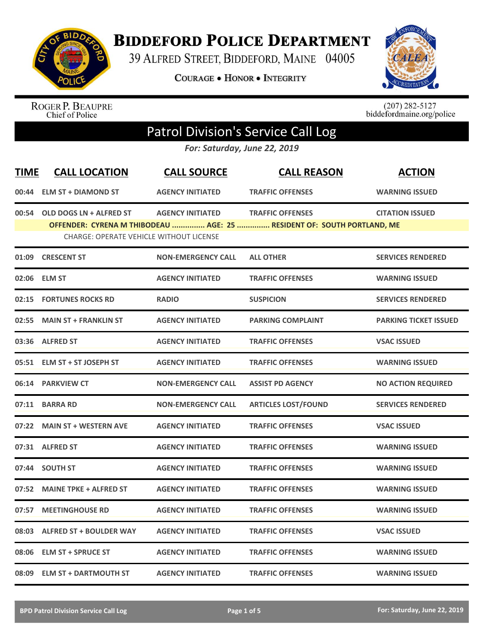

## **BIDDEFORD POLICE DEPARTMENT**

39 ALFRED STREET, BIDDEFORD, MAINE 04005

**COURAGE . HONOR . INTEGRITY** 



ROGER P. BEAUPRE<br>Chief of Police

 $(207)$  282-5127<br>biddefordmaine.org/police

## Patrol Division's Service Call Log

*For: Saturday, June 22, 2019*

| <b>TIME</b> | <b>CALL LOCATION</b>                           | <b>CALL SOURCE</b>        | <b>CALL REASON</b>                                                                                | <b>ACTION</b>                |
|-------------|------------------------------------------------|---------------------------|---------------------------------------------------------------------------------------------------|------------------------------|
|             | 00:44 ELM ST + DIAMOND ST                      | <b>AGENCY INITIATED</b>   | <b>TRAFFIC OFFENSES</b>                                                                           | <b>WARNING ISSUED</b>        |
|             | 00:54 OLD DOGS LN + ALFRED ST                  | <b>AGENCY INITIATED</b>   | <b>TRAFFIC OFFENSES</b><br>OFFENDER: CYRENA M THIBODEAU  AGE: 25  RESIDENT OF: SOUTH PORTLAND, ME | <b>CITATION ISSUED</b>       |
|             | <b>CHARGE: OPERATE VEHICLE WITHOUT LICENSE</b> |                           |                                                                                                   |                              |
|             | 01:09 CRESCENT ST                              | <b>NON-EMERGENCY CALL</b> | <b>ALL OTHER</b>                                                                                  | <b>SERVICES RENDERED</b>     |
|             | 02:06 ELM ST                                   | <b>AGENCY INITIATED</b>   | <b>TRAFFIC OFFENSES</b>                                                                           | <b>WARNING ISSUED</b>        |
|             | 02:15 FORTUNES ROCKS RD                        | <b>RADIO</b>              | <b>SUSPICION</b>                                                                                  | <b>SERVICES RENDERED</b>     |
|             | 02:55 MAIN ST + FRANKLIN ST                    | <b>AGENCY INITIATED</b>   | <b>PARKING COMPLAINT</b>                                                                          | <b>PARKING TICKET ISSUED</b> |
|             | 03:36 ALFRED ST                                | <b>AGENCY INITIATED</b>   | <b>TRAFFIC OFFENSES</b>                                                                           | <b>VSAC ISSUED</b>           |
|             | 05:51 ELM ST + ST JOSEPH ST                    | <b>AGENCY INITIATED</b>   | <b>TRAFFIC OFFENSES</b>                                                                           | <b>WARNING ISSUED</b>        |
|             | 06:14 PARKVIEW CT                              | <b>NON-EMERGENCY CALL</b> | <b>ASSIST PD AGENCY</b>                                                                           | <b>NO ACTION REQUIRED</b>    |
|             | 07:11 BARRA RD                                 | <b>NON-EMERGENCY CALL</b> | <b>ARTICLES LOST/FOUND</b>                                                                        | <b>SERVICES RENDERED</b>     |
|             | 07:22 MAIN ST + WESTERN AVE                    | <b>AGENCY INITIATED</b>   | <b>TRAFFIC OFFENSES</b>                                                                           | <b>VSAC ISSUED</b>           |
|             | 07:31 ALFRED ST                                | <b>AGENCY INITIATED</b>   | <b>TRAFFIC OFFENSES</b>                                                                           | <b>WARNING ISSUED</b>        |
|             | 07:44 SOUTH ST                                 | <b>AGENCY INITIATED</b>   | <b>TRAFFIC OFFENSES</b>                                                                           | <b>WARNING ISSUED</b>        |
| 07:52       | <b>MAINE TPKE + ALFRED ST</b>                  | <b>AGENCY INITIATED</b>   | <b>TRAFFIC OFFENSES</b>                                                                           | <b>WARNING ISSUED</b>        |
| 07:57       | <b>MEETINGHOUSE RD</b>                         | <b>AGENCY INITIATED</b>   | <b>TRAFFIC OFFENSES</b>                                                                           | <b>WARNING ISSUED</b>        |
|             | 08:03 ALFRED ST + BOULDER WAY                  | <b>AGENCY INITIATED</b>   | <b>TRAFFIC OFFENSES</b>                                                                           | <b>VSAC ISSUED</b>           |
|             | 08:06 ELM ST + SPRUCE ST                       | <b>AGENCY INITIATED</b>   | <b>TRAFFIC OFFENSES</b>                                                                           | <b>WARNING ISSUED</b>        |
|             | 08:09 ELM ST + DARTMOUTH ST                    | <b>AGENCY INITIATED</b>   | <b>TRAFFIC OFFENSES</b>                                                                           | <b>WARNING ISSUED</b>        |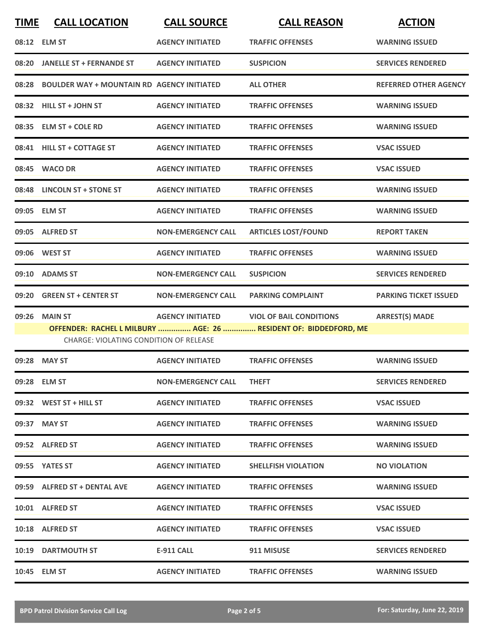| <b>TIME</b> | <b>CALL LOCATION</b>                              | <b>CALL SOURCE</b>        | <b>CALL REASON</b>                                               | <b>ACTION</b>                |
|-------------|---------------------------------------------------|---------------------------|------------------------------------------------------------------|------------------------------|
|             | 08:12 ELM ST                                      | <b>AGENCY INITIATED</b>   | <b>TRAFFIC OFFENSES</b>                                          | <b>WARNING ISSUED</b>        |
| 08:20       | JANELLE ST + FERNANDE ST                          | <b>AGENCY INITIATED</b>   | <b>SUSPICION</b>                                                 | <b>SERVICES RENDERED</b>     |
| 08:28       | <b>BOULDER WAY + MOUNTAIN RD AGENCY INITIATED</b> |                           | <b>ALL OTHER</b>                                                 | <b>REFERRED OTHER AGENCY</b> |
| 08:32       | <b>HILL ST + JOHN ST</b>                          | <b>AGENCY INITIATED</b>   | <b>TRAFFIC OFFENSES</b>                                          | <b>WARNING ISSUED</b>        |
|             | 08:35 ELM ST + COLE RD                            | <b>AGENCY INITIATED</b>   | <b>TRAFFIC OFFENSES</b>                                          | <b>WARNING ISSUED</b>        |
|             | 08:41 HILL ST + COTTAGE ST                        | <b>AGENCY INITIATED</b>   | <b>TRAFFIC OFFENSES</b>                                          | <b>VSAC ISSUED</b>           |
| 08:45       | <b>WACO DR</b>                                    | <b>AGENCY INITIATED</b>   | <b>TRAFFIC OFFENSES</b>                                          | <b>VSAC ISSUED</b>           |
|             | 08:48 LINCOLN ST + STONE ST                       | <b>AGENCY INITIATED</b>   | <b>TRAFFIC OFFENSES</b>                                          | <b>WARNING ISSUED</b>        |
|             | 09:05 ELM ST                                      | <b>AGENCY INITIATED</b>   | <b>TRAFFIC OFFENSES</b>                                          | <b>WARNING ISSUED</b>        |
|             | 09:05 ALFRED ST                                   | <b>NON-EMERGENCY CALL</b> | <b>ARTICLES LOST/FOUND</b>                                       | <b>REPORT TAKEN</b>          |
|             |                                                   | <b>AGENCY INITIATED</b>   | <b>TRAFFIC OFFENSES</b>                                          | <b>WARNING ISSUED</b>        |
| 09:10       | <b>ADAMS ST</b>                                   | <b>NON-EMERGENCY CALL</b> | <b>SUSPICION</b>                                                 | <b>SERVICES RENDERED</b>     |
| 09:20       | <b>GREEN ST + CENTER ST</b>                       | <b>NON-EMERGENCY CALL</b> | <b>PARKING COMPLAINT</b>                                         | <b>PARKING TICKET ISSUED</b> |
| 09:26       | <b>MAIN ST</b>                                    | <b>AGENCY INITIATED</b>   | <b>VIOL OF BAIL CONDITIONS</b>                                   | <b>ARREST(S) MADE</b>        |
|             | <b>CHARGE: VIOLATING CONDITION OF RELEASE</b>     |                           | OFFENDER: RACHEL L MILBURY  AGE: 26  RESIDENT OF: BIDDEDFORD, ME |                              |
|             | 09:28 MAY ST                                      | <b>AGENCY INITIATED</b>   | <b>TRAFFIC OFFENSES</b>                                          | <b>WARNING ISSUED</b>        |
|             | 09:28 ELM ST                                      | <b>NON-EMERGENCY CALL</b> | <b>THEFT</b>                                                     | <b>SERVICES RENDERED</b>     |
|             | $09:32$ WEST ST + HILL ST                         | <b>AGENCY INITIATED</b>   | <b>TRAFFIC OFFENSES</b>                                          | <b>VSAC ISSUED</b>           |
|             | 09:37 MAY ST                                      | <b>AGENCY INITIATED</b>   | <b>TRAFFIC OFFENSES</b>                                          | <b>WARNING ISSUED</b>        |
|             | 09:52 ALFRED ST                                   | <b>AGENCY INITIATED</b>   | <b>TRAFFIC OFFENSES</b>                                          | <b>WARNING ISSUED</b>        |
|             | 09:55 YATES ST                                    | <b>AGENCY INITIATED</b>   | <b>SHELLFISH VIOLATION</b>                                       | <b>NO VIOLATION</b>          |
|             | 09:59 ALFRED ST + DENTAL AVE                      | <b>AGENCY INITIATED</b>   | <b>TRAFFIC OFFENSES</b>                                          | <b>WARNING ISSUED</b>        |
|             | 10:01 ALFRED ST                                   | <b>AGENCY INITIATED</b>   | <b>TRAFFIC OFFENSES</b>                                          | <b>VSAC ISSUED</b>           |
|             | 10:18 ALFRED ST                                   | <b>AGENCY INITIATED</b>   | <b>TRAFFIC OFFENSES</b>                                          | <b>VSAC ISSUED</b>           |
|             | <b>10:19 DARTMOUTH ST</b>                         | E-911 CALL                | 911 MISUSE                                                       | <b>SERVICES RENDERED</b>     |
|             | 10:45 ELM ST                                      | <b>AGENCY INITIATED</b>   | <b>TRAFFIC OFFENSES</b>                                          | <b>WARNING ISSUED</b>        |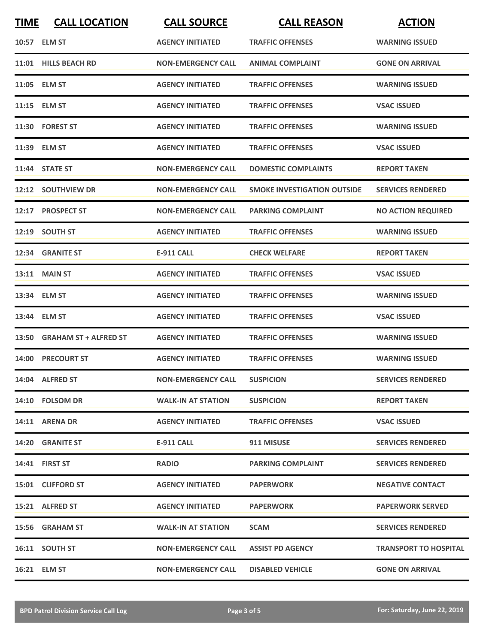| <b>TIME</b> | <b>CALL LOCATION</b>        | <b>CALL SOURCE</b>        | <b>CALL REASON</b>                 | <b>ACTION</b>                |
|-------------|-----------------------------|---------------------------|------------------------------------|------------------------------|
|             | 10:57 ELM ST                | <b>AGENCY INITIATED</b>   | <b>TRAFFIC OFFENSES</b>            | <b>WARNING ISSUED</b>        |
|             | 11:01 HILLS BEACH RD        | <b>NON-EMERGENCY CALL</b> | <b>ANIMAL COMPLAINT</b>            | <b>GONE ON ARRIVAL</b>       |
|             | 11:05 ELM ST                | <b>AGENCY INITIATED</b>   | <b>TRAFFIC OFFENSES</b>            | <b>WARNING ISSUED</b>        |
|             | 11:15 ELM ST                | <b>AGENCY INITIATED</b>   | <b>TRAFFIC OFFENSES</b>            | <b>VSAC ISSUED</b>           |
|             | 11:30 FOREST ST             | <b>AGENCY INITIATED</b>   | <b>TRAFFIC OFFENSES</b>            | <b>WARNING ISSUED</b>        |
|             | 11:39 ELM ST                | <b>AGENCY INITIATED</b>   | <b>TRAFFIC OFFENSES</b>            | <b>VSAC ISSUED</b>           |
|             | 11:44 STATE ST              | <b>NON-EMERGENCY CALL</b> | <b>DOMESTIC COMPLAINTS</b>         | <b>REPORT TAKEN</b>          |
|             | 12:12 SOUTHVIEW DR          | <b>NON-EMERGENCY CALL</b> | <b>SMOKE INVESTIGATION OUTSIDE</b> | <b>SERVICES RENDERED</b>     |
|             | 12:17 PROSPECT ST           | <b>NON-EMERGENCY CALL</b> | <b>PARKING COMPLAINT</b>           | <b>NO ACTION REQUIRED</b>    |
|             | 12:19 SOUTH ST              | <b>AGENCY INITIATED</b>   | <b>TRAFFIC OFFENSES</b>            | <b>WARNING ISSUED</b>        |
|             | 12:34 GRANITE ST            | <b>E-911 CALL</b>         | <b>CHECK WELFARE</b>               | <b>REPORT TAKEN</b>          |
|             | 13:11 MAIN ST               | <b>AGENCY INITIATED</b>   | <b>TRAFFIC OFFENSES</b>            | <b>VSAC ISSUED</b>           |
|             | 13:34 ELM ST                | <b>AGENCY INITIATED</b>   | <b>TRAFFIC OFFENSES</b>            | <b>WARNING ISSUED</b>        |
| 13:44       | <b>ELM ST</b>               | <b>AGENCY INITIATED</b>   | <b>TRAFFIC OFFENSES</b>            | <b>VSAC ISSUED</b>           |
|             | 13:50 GRAHAM ST + ALFRED ST | <b>AGENCY INITIATED</b>   | <b>TRAFFIC OFFENSES</b>            | <b>WARNING ISSUED</b>        |
| 14:00       | <b>PRECOURT ST</b>          | <b>AGENCY INITIATED</b>   | <b>TRAFFIC OFFENSES</b>            | <b>WARNING ISSUED</b>        |
|             | 14:04 ALFRED ST             | <b>NON-EMERGENCY CALL</b> | <b>SUSPICION</b>                   | <b>SERVICES RENDERED</b>     |
|             | 14:10 FOLSOM DR             | <b>WALK-IN AT STATION</b> | <b>SUSPICION</b>                   | <b>REPORT TAKEN</b>          |
|             | 14:11 ARENA DR              | <b>AGENCY INITIATED</b>   | <b>TRAFFIC OFFENSES</b>            | <b>VSAC ISSUED</b>           |
|             | 14:20 GRANITE ST            | E-911 CALL                | 911 MISUSE                         | <b>SERVICES RENDERED</b>     |
|             | 14:41 FIRST ST              | <b>RADIO</b>              | <b>PARKING COMPLAINT</b>           | <b>SERVICES RENDERED</b>     |
|             | 15:01 CLIFFORD ST           | <b>AGENCY INITIATED</b>   | <b>PAPERWORK</b>                   | <b>NEGATIVE CONTACT</b>      |
|             | 15:21 ALFRED ST             | <b>AGENCY INITIATED</b>   | <b>PAPERWORK</b>                   | <b>PAPERWORK SERVED</b>      |
|             | 15:56 GRAHAM ST             | <b>WALK-IN AT STATION</b> | <b>SCAM</b>                        | <b>SERVICES RENDERED</b>     |
|             | 16:11 SOUTH ST              | <b>NON-EMERGENCY CALL</b> | <b>ASSIST PD AGENCY</b>            | <b>TRANSPORT TO HOSPITAL</b> |
|             | 16:21 ELM ST                | <b>NON-EMERGENCY CALL</b> | <b>DISABLED VEHICLE</b>            | <b>GONE ON ARRIVAL</b>       |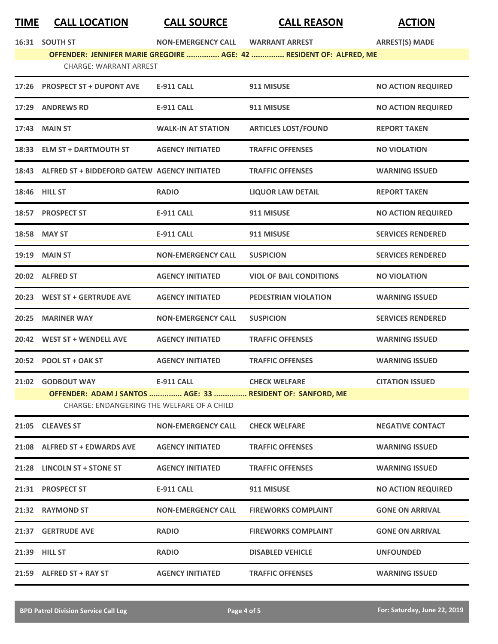| TIME  | <b>CALL LOCATION</b>                               | <b>CALL SOURCE</b>        | <b>CALL REASON</b>                                                  | <b>ACTION</b>             |
|-------|----------------------------------------------------|---------------------------|---------------------------------------------------------------------|---------------------------|
|       | 16:31 SOUTH ST                                     | <b>NON-EMERGENCY CALL</b> | <b>WARRANT ARREST</b>                                               | <b>ARREST(S) MADE</b>     |
|       |                                                    |                           | OFFENDER: JENNIFER MARIE GREGOIRE  AGE: 42  RESIDENT OF: ALFRED, ME |                           |
|       | <b>CHARGE: WARRANT ARREST</b>                      |                           |                                                                     |                           |
|       | 17:26 PROSPECT ST + DUPONT AVE                     | <b>E-911 CALL</b>         | 911 MISUSE                                                          | <b>NO ACTION REQUIRED</b> |
|       | 17:29 ANDREWS RD                                   | <b>E-911 CALL</b>         | 911 MISUSE                                                          | <b>NO ACTION REQUIRED</b> |
|       | 17:43 MAIN ST                                      | <b>WALK-IN AT STATION</b> | <b>ARTICLES LOST/FOUND</b>                                          | <b>REPORT TAKEN</b>       |
|       | 18:33 ELM ST + DARTMOUTH ST                        | <b>AGENCY INITIATED</b>   | <b>TRAFFIC OFFENSES</b>                                             | <b>NO VIOLATION</b>       |
|       | 18:43 ALFRED ST + BIDDEFORD GATEW AGENCY INITIATED |                           | <b>TRAFFIC OFFENSES</b>                                             | <b>WARNING ISSUED</b>     |
|       | <b>18:46 HILL ST</b>                               | <b>RADIO</b>              | <b>LIQUOR LAW DETAIL</b>                                            | <b>REPORT TAKEN</b>       |
|       | 18:57 PROSPECT ST                                  | <b>E-911 CALL</b>         | 911 MISUSE                                                          | <b>NO ACTION REQUIRED</b> |
|       | 18:58 MAY ST                                       | <b>E-911 CALL</b>         | 911 MISUSE                                                          | <b>SERVICES RENDERED</b>  |
|       | 19:19 MAIN ST                                      | <b>NON-EMERGENCY CALL</b> | <b>SUSPICION</b>                                                    | <b>SERVICES RENDERED</b>  |
|       | 20:02 ALFRED ST                                    | <b>AGENCY INITIATED</b>   | <b>VIOL OF BAIL CONDITIONS</b>                                      | <b>NO VIOLATION</b>       |
|       | 20:23 WEST ST + GERTRUDE AVE                       | <b>AGENCY INITIATED</b>   | PEDESTRIAN VIOLATION                                                | <b>WARNING ISSUED</b>     |
| 20:25 | <b>MARINER WAY</b>                                 | <b>NON-EMERGENCY CALL</b> | <b>SUSPICION</b>                                                    | <b>SERVICES RENDERED</b>  |
|       | 20:42 WEST ST + WENDELL AVE                        | <b>AGENCY INITIATED</b>   | <b>TRAFFIC OFFENSES</b>                                             | <b>WARNING ISSUED</b>     |
|       |                                                    |                           |                                                                     |                           |

**21:02 GODBOUT WAY E-911 CALL CHECK WELFARE CITATION ISSUED OFFENDER: ADAM J SANTOS ............... AGE: 33 ............... RESIDENT OF: SANFORD, ME** CHARGE: ENDANGERING THE WELFARE OF A CHILD

**20:52 POOL ST + OAK ST AGENCY INITIATED TRAFFIC OFFENSES WARNING ISSUED**

| 21:05 | <b>CLEAVES ST</b>              | <b>NON-EMERGENCY CALL</b> | <b>CHECK WELFARE</b>       | <b>NEGATIVE CONTACT</b>   |
|-------|--------------------------------|---------------------------|----------------------------|---------------------------|
| 21:08 | <b>ALFRED ST + EDWARDS AVE</b> | <b>AGENCY INITIATED</b>   | <b>TRAFFIC OFFENSES</b>    | <b>WARNING ISSUED</b>     |
| 21:28 | LINCOLN ST + STONE ST          | <b>AGENCY INITIATED</b>   | <b>TRAFFIC OFFENSES</b>    | <b>WARNING ISSUED</b>     |
| 21:31 | <b>PROSPECT ST</b>             | <b>E-911 CALL</b>         | 911 MISUSE                 | <b>NO ACTION REQUIRED</b> |
| 21:32 | <b>RAYMOND ST</b>              | <b>NON-EMERGENCY CALL</b> | <b>FIREWORKS COMPLAINT</b> | <b>GONE ON ARRIVAL</b>    |
| 21:37 | <b>GERTRUDE AVE</b>            | <b>RADIO</b>              | <b>FIREWORKS COMPLAINT</b> | <b>GONE ON ARRIVAL</b>    |
|       | 21:39 HILL ST                  | <b>RADIO</b>              | <b>DISABLED VEHICLE</b>    | <b>UNFOUNDED</b>          |
| 21:59 | <b>ALFRED ST + RAY ST</b>      | <b>AGENCY INITIATED</b>   | <b>TRAFFIC OFFENSES</b>    | <b>WARNING ISSUED</b>     |